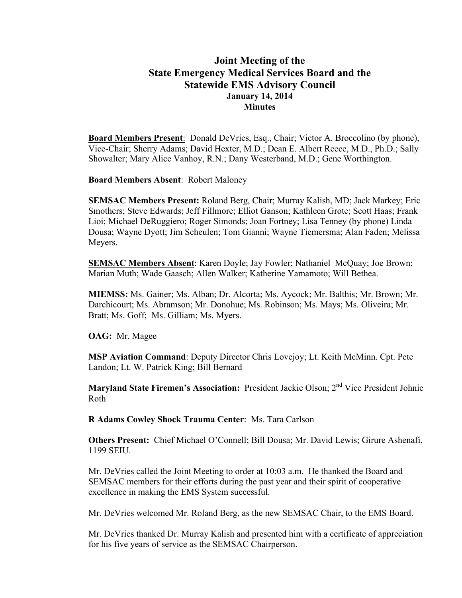# **Joint Meeting of the State Emergency Medical Services Board and the Statewide EMS Advisory Council January 14, 2014 Minutes**

**Board Members Present**: Donald DeVries, Esq., Chair; Victor A. Broccolino (by phone), Vice-Chair; Sherry Adams; David Hexter, M.D.; Dean E. Albert Reece, M.D., Ph.D.; Sally Showalter; Mary Alice Vanhoy, R.N.; Dany Westerband, M.D.; Gene Worthington.

**Board Members Absent**: Robert Maloney

**SEMSAC Members Present:** Roland Berg, Chair; Murray Kalish, MD; Jack Markey; Eric Smothers; Steve Edwards; Jeff Fillmore; Elliot Ganson; Kathleen Grote; Scott Haas; Frank Lioi; Michael DeRuggiero; Roger Simonds; Joan Fortney; Lisa Tenney (by phone) Linda Dousa; Wayne Dyott; Jim Scheulen; Tom Gianni; Wayne Tiemersma; Alan Faden; Melissa Meyers.

**SEMSAC Members Absent**: Karen Doyle; Jay Fowler; Nathaniel McQuay; Joe Brown; Marian Muth; Wade Gaasch; Allen Walker; Katherine Yamamoto; Will Bethea.

**MIEMSS:** Ms. Gainer; Ms. Alban; Dr. Alcorta; Ms. Aycock; Mr. Balthis; Mr. Brown; Mr. Darchicourt; Ms. Abramson; Mr. Donohue; Ms. Robinson; Ms. Mays; Ms. Oliveira; Mr. Bratt; Ms. Goff; Ms. Gilliam; Ms. Myers.

**OAG:** Mr. Magee

**MSP Aviation Command**: Deputy Director Chris Lovejoy; Lt. Keith McMinn. Cpt. Pete Landon; Lt. W. Patrick King; Bill Bernard

**Maryland State Firemen's Association:** President Jackie Olson; 2nd Vice President Johnie Roth

**R Adams Cowley Shock Trauma Center**: Ms. Tara Carlson

**Others Present:** Chief Michael O'Connell; Bill Dousa; Mr. David Lewis; Girure Ashenafi, 1199 SEIU.

Mr. DeVries called the Joint Meeting to order at 10:03 a.m. He thanked the Board and SEMSAC members for their efforts during the past year and their spirit of cooperative excellence in making the EMS System successful.

Mr. DeVries welcomed Mr. Roland Berg, as the new SEMSAC Chair, to the EMS Board.

Mr. DeVries thanked Dr. Murray Kalish and presented him with a certificate of appreciation for his five years of service as the SEMSAC Chairperson.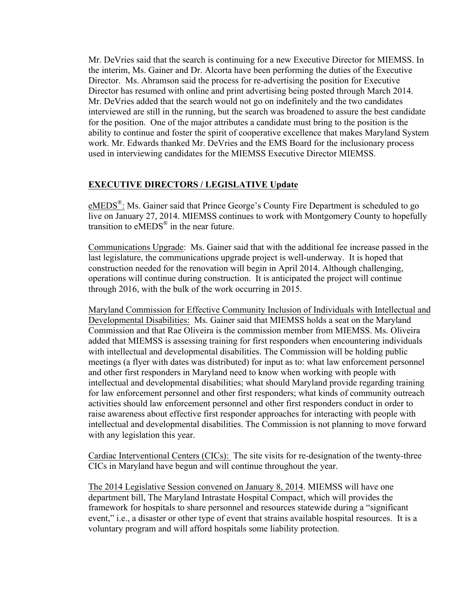Mr. DeVries said that the search is continuing for a new Executive Director for MIEMSS. In the interim, Ms. Gainer and Dr. Alcorta have been performing the duties of the Executive Director. Ms. Abramson said the process for re-advertising the position for Executive Director has resumed with online and print advertising being posted through March 2014. Mr. DeVries added that the search would not go on indefinitely and the two candidates interviewed are still in the running, but the search was broadened to assure the best candidate for the position. One of the major attributes a candidate must bring to the position is the ability to continue and foster the spirit of cooperative excellence that makes Maryland System work. Mr. Edwards thanked Mr. DeVries and the EMS Board for the inclusionary process used in interviewing candidates for the MIEMSS Executive Director MIEMSS.

## **EXECUTIVE DIRECTORS / LEGISLATIVE Update**

eMEDS<sup>®</sup>: Ms. Gainer said that Prince George's County Fire Department is scheduled to go live on January 27, 2014. MIEMSS continues to work with Montgomery County to hopefully transition to eMEDS® in the near future.

Communications Upgrade: Ms. Gainer said that with the additional fee increase passed in the last legislature, the communications upgrade project is well-underway. It is hoped that construction needed for the renovation will begin in April 2014. Although challenging, operations will continue during construction. It is anticipated the project will continue through 2016, with the bulk of the work occurring in 2015.

Maryland Commission for Effective Community Inclusion of Individuals with Intellectual and Developmental Disabilities:Ms. Gainer said that MIEMSS holds a seat on the Maryland Commission and that Rae Oliveira is the commission member from MIEMSS. Ms. Oliveira added that MIEMSS is assessing training for first responders when encountering individuals with intellectual and developmental disabilities. The Commission will be holding public meetings (a flyer with dates was distributed) for input as to: what law enforcement personnel and other first responders in Maryland need to know when working with people with intellectual and developmental disabilities; what should Maryland provide regarding training for law enforcement personnel and other first responders; what kinds of community outreach activities should law enforcement personnel and other first responders conduct in order to raise awareness about effective first responder approaches for interacting with people with intellectual and developmental disabilities. The Commission is not planning to move forward with any legislation this year.

Cardiac Interventional Centers (CICs): The site visits for re-designation of the twenty-three CICs in Maryland have begun and will continue throughout the year.

The 2014 Legislative Session convened on January 8, 2014. MIEMSS will have one department bill, The Maryland Intrastate Hospital Compact, which will provides the framework for hospitals to share personnel and resources statewide during a "significant event," i.e., a disaster or other type of event that strains available hospital resources. It is a voluntary program and will afford hospitals some liability protection.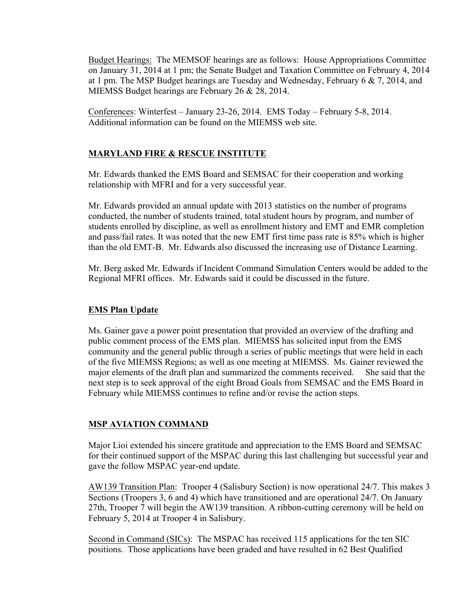Budget Hearings: The MEMSOF hearings are as follows: House Appropriations Committee on January 31, 2014 at 1 pm; the Senate Budget and Taxation Committee on February 4, 2014 at 1 pm. The MSP Budget hearings are Tuesday and Wednesday, February 6 & 7, 2014, and MIEMSS Budget hearings are February 26 & 28, 2014.

Conferences: Winterfest – January 23-26, 2014. EMS Today – February 5-8, 2014. Additional information can be found on the MIEMSS web site.

## **MARYLAND FIRE & RESCUE INSTITUTE**

Mr. Edwards thanked the EMS Board and SEMSAC for their cooperation and working relationship with MFRI and for a very successful year.

Mr. Edwards provided an annual update with 2013 statistics on the number of programs conducted, the number of students trained, total student hours by program, and number of students enrolled by discipline, as well as enrollment history and EMT and EMR completion and pass/fail rates. It was noted that the new EMT first time pass rate is 85% which is higher than the old EMT-B. Mr. Edwards also discussed the increasing use of Distance Learning.

Mr. Berg asked Mr. Edwards if Incident Command Simulation Centers would be added to the Regional MFRI offices. Mr. Edwards said it could be discussed in the future.

## **EMS Plan Update**

Ms. Gainer gave a power point presentation that provided an overview of the drafting and public comment process of the EMS plan. MIEMSS has solicited input from the EMS community and the general public through a series of public meetings that were held in each of the five MIEMSS Regions; as well as one meeting at MIEMSS. Ms. Gainer reviewed the major elements of the draft plan and summarized the comments received. She said that the next step is to seek approval of the eight Broad Goals from SEMSAC and the EMS Board in February while MIEMSS continues to refine and/or revise the action steps.

## **MSP AVIATION COMMAND**

Major Lioi extended his sincere gratitude and appreciation to the EMS Board and SEMSAC for their continued support of the MSPAC during this last challenging but successful year and gave the follow MSPAC year-end update.

AW139 Transition Plan: Trooper 4 (Salisbury Section) is now operational 24/7. This makes 3 Sections (Troopers 3, 6 and 4) which have transitioned and are operational 24/7. On January 27th, Trooper 7 will begin the AW139 transition. A ribbon-cutting ceremony will be held on February 5, 2014 at Trooper 4 in Salisbury.

Second in Command (SICs): The MSPAC has received 115 applications for the ten SIC positions. Those applications have been graded and have resulted in 62 Best Qualified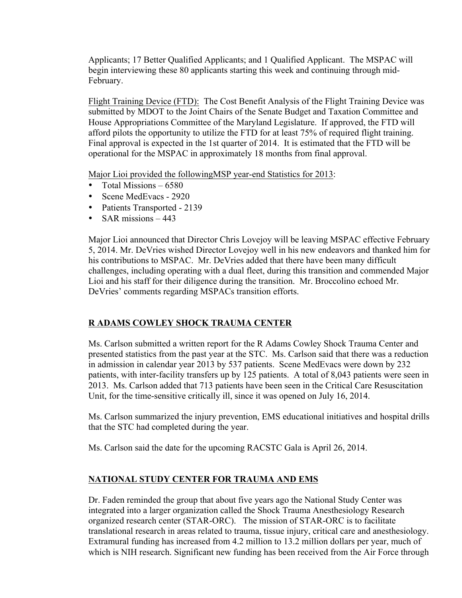Applicants; 17 Better Qualified Applicants; and 1 Qualified Applicant. The MSPAC will begin interviewing these 80 applicants starting this week and continuing through mid-February.

Flight Training Device (FTD): The Cost Benefit Analysis of the Flight Training Device was submitted by MDOT to the Joint Chairs of the Senate Budget and Taxation Committee and House Appropriations Committee of the Maryland Legislature. If approved, the FTD will afford pilots the opportunity to utilize the FTD for at least 75% of required flight training. Final approval is expected in the 1st quarter of 2014. It is estimated that the FTD will be operational for the MSPAC in approximately 18 months from final approval.

Major Lioi provided the followingMSP year-end Statistics for 2013:

- Total Missions 6580
- Scene MedEvacs 2920
- Patients Transported 2139
- SAR missions 443

Major Lioi announced that Director Chris Lovejoy will be leaving MSPAC effective February 5, 2014. Mr. DeVries wished Director Lovejoy well in his new endeavors and thanked him for his contributions to MSPAC. Mr. DeVries added that there have been many difficult challenges, including operating with a dual fleet, during this transition and commended Major Lioi and his staff for their diligence during the transition. Mr. Broccolino echoed Mr. DeVries' comments regarding MSPACs transition efforts.

## **R ADAMS COWLEY SHOCK TRAUMA CENTER**

Ms. Carlson submitted a written report for the R Adams Cowley Shock Trauma Center and presented statistics from the past year at the STC. Ms. Carlson said that there was a reduction in admission in calendar year 2013 by 537 patients. Scene MedEvacs were down by 232 patients, with inter-facility transfers up by 125 patients. A total of 8,043 patients were seen in 2013. Ms. Carlson added that 713 patients have been seen in the Critical Care Resuscitation Unit, for the time-sensitive critically ill, since it was opened on July 16, 2014.

Ms. Carlson summarized the injury prevention, EMS educational initiatives and hospital drills that the STC had completed during the year.

Ms. Carlson said the date for the upcoming RACSTC Gala is April 26, 2014.

## **NATIONAL STUDY CENTER FOR TRAUMA AND EMS**

Dr. Faden reminded the group that about five years ago the National Study Center was integrated into a larger organization called the Shock Trauma Anesthesiology Research organized research center (STAR-ORC). The mission of STAR-ORC is to facilitate translational research in areas related to trauma, tissue injury, critical care and anesthesiology. Extramural funding has increased from 4.2 million to 13.2 million dollars per year, much of which is NIH research. Significant new funding has been received from the Air Force through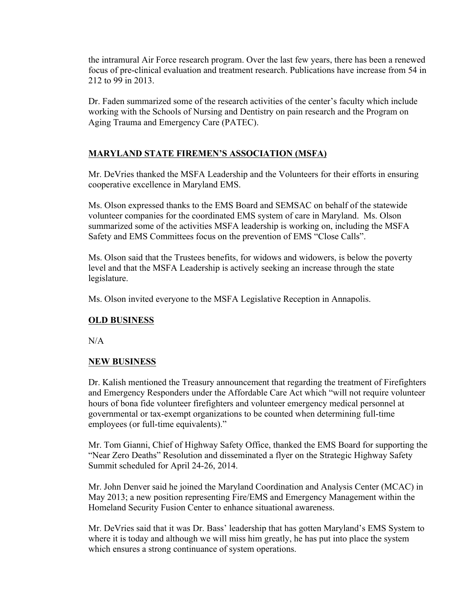the intramural Air Force research program. Over the last few years, there has been a renewed focus of pre-clinical evaluation and treatment research. Publications have increase from 54 in 212 to 99 in 2013.

Dr. Faden summarized some of the research activities of the center's faculty which include working with the Schools of Nursing and Dentistry on pain research and the Program on Aging Trauma and Emergency Care (PATEC).

## **MARYLAND STATE FIREMEN'S ASSOCIATION (MSFA)**

Mr. DeVries thanked the MSFA Leadership and the Volunteers for their efforts in ensuring cooperative excellence in Maryland EMS.

Ms. Olson expressed thanks to the EMS Board and SEMSAC on behalf of the statewide volunteer companies for the coordinated EMS system of care in Maryland. Ms. Olson summarized some of the activities MSFA leadership is working on, including the MSFA Safety and EMS Committees focus on the prevention of EMS "Close Calls".

Ms. Olson said that the Trustees benefits, for widows and widowers, is below the poverty level and that the MSFA Leadership is actively seeking an increase through the state legislature.

Ms. Olson invited everyone to the MSFA Legislative Reception in Annapolis.

## **OLD BUSINESS**

 $N/A$ 

## **NEW BUSINESS**

Dr. Kalish mentioned the Treasury announcement that regarding the treatment of Firefighters and Emergency Responders under the Affordable Care Act which "will not require volunteer hours of bona fide volunteer firefighters and volunteer emergency medical personnel at governmental or tax-exempt organizations to be counted when determining full-time employees (or full-time equivalents)."

Mr. Tom Gianni, Chief of Highway Safety Office, thanked the EMS Board for supporting the "Near Zero Deaths" Resolution and disseminated a flyer on the Strategic Highway Safety Summit scheduled for April 24-26, 2014.

Mr. John Denver said he joined the Maryland Coordination and Analysis Center (MCAC) in May 2013; a new position representing Fire/EMS and Emergency Management within the Homeland Security Fusion Center to enhance situational awareness.

Mr. DeVries said that it was Dr. Bass' leadership that has gotten Maryland's EMS System to where it is today and although we will miss him greatly, he has put into place the system which ensures a strong continuance of system operations.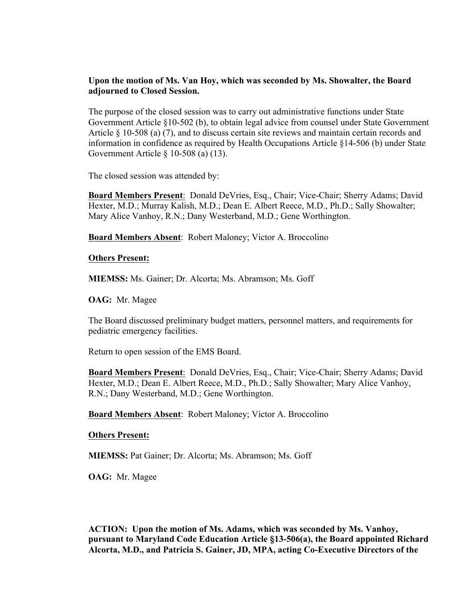### **Upon the motion of Ms. Van Hoy, which was seconded by Ms. Showalter, the Board adjourned to Closed Session.**

The purpose of the closed session was to carry out administrative functions under State Government Article §10-502 (b), to obtain legal advice from counsel under State Government Article § 10-508 (a) (7), and to discuss certain site reviews and maintain certain records and information in confidence as required by Health Occupations Article §14-506 (b) under State Government Article § 10-508 (a) (13).

The closed session was attended by:

**Board Members Present**: Donald DeVries, Esq., Chair; Vice-Chair; Sherry Adams; David Hexter, M.D.; Murray Kalish, M.D.; Dean E. Albert Reece, M.D., Ph.D.; Sally Showalter; Mary Alice Vanhoy, R.N.; Dany Westerband, M.D.; Gene Worthington.

**Board Members Absent**: Robert Maloney; Victor A. Broccolino

#### **Others Present:**

**MIEMSS:** Ms. Gainer; Dr. Alcorta; Ms. Abramson; Ms. Goff

**OAG:** Mr. Magee

The Board discussed preliminary budget matters, personnel matters, and requirements for pediatric emergency facilities.

Return to open session of the EMS Board.

**Board Members Present**: Donald DeVries, Esq., Chair; Vice-Chair; Sherry Adams; David Hexter, M.D.; Dean E. Albert Reece, M.D., Ph.D.; Sally Showalter; Mary Alice Vanhoy, R.N.; Dany Westerband, M.D.; Gene Worthington.

**Board Members Absent**: Robert Maloney; Victor A. Broccolino

#### **Others Present:**

**MIEMSS:** Pat Gainer; Dr. Alcorta; Ms. Abramson; Ms. Goff

**OAG:** Mr. Magee

**ACTION: Upon the motion of Ms. Adams, which was seconded by Ms. Vanhoy, pursuant to Maryland Code Education Article §13-506(a), the Board appointed Richard Alcorta, M.D., and Patricia S. Gainer, JD, MPA, acting Co-Executive Directors of the**